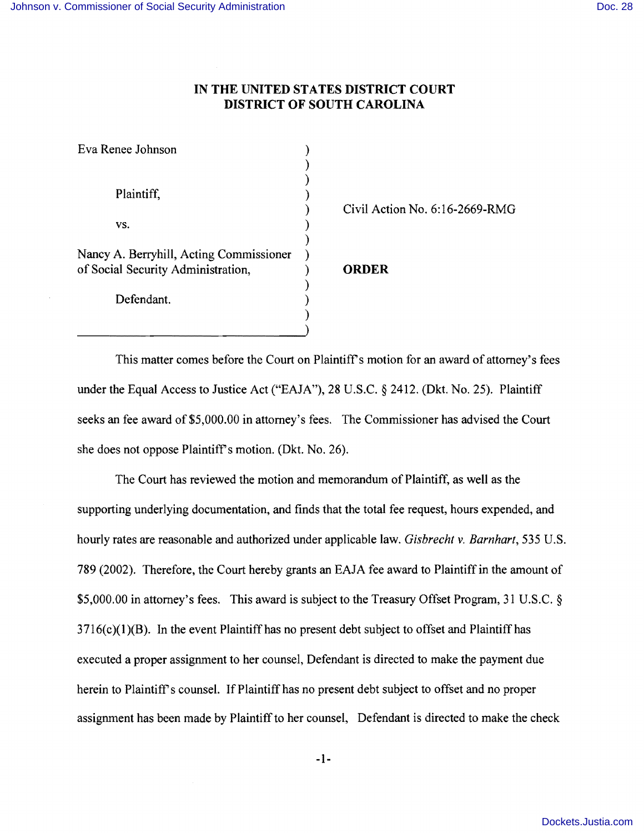## **IN THE UNITED STATES DISTRICT COURT DISTRICT OF SOUTH CAROLINA**

| Eva Renee Johnson                       |           |
|-----------------------------------------|-----------|
|                                         |           |
|                                         |           |
| Plaintiff,                              |           |
|                                         | Civil Act |
| VS.                                     |           |
|                                         |           |
| Nancy A. Berryhill, Acting Commissioner |           |
| of Social Security Administration,      | ORDER     |
|                                         |           |
| Defendant.                              |           |
|                                         |           |

) Civil Action No.6: 16-2669-RMG

This matter comes before the Court on Plaintiff's motion for an award of attorney's fees under the Equal Access to Justice Act ("EAJA"), 28 U.S.C. § 2412. (Dkt. No. 25). Plaintiff seeks an fee award of \$5,000.00 in attorney's fees. The Commissioner has advised the Court she does not oppose Plaintiff's motion. (Dkt. No. 26).

The Court has reviewed the motion and memorandum of Plaintiff, as well as the supporting underlying documentation, and finds that the total fee request, hours expended, and hourly rates are reasonable and authorized under applicable law. *Gisbrecht v. Barnhart,* 535 U.S. 789 (2002). Therefore, the Court hereby grants an EAJA fee award to Plaintiff in the amount of \$5,000.00 in attorney's fees. This award is subject to the Treasury Offset Program, 31 U.S.C. §  $3716(c)(1)(B)$ . In the event Plaintiff has no present debt subject to offset and Plaintiff has executed a proper assignment to her counsel, Defendant is directed to make the payment due herein to Plaintiff's counsel. If Plaintiff has no present debt subject to offset and no proper assignment has been made by Plaintiff to her counsel, Defendant is directed to make the check